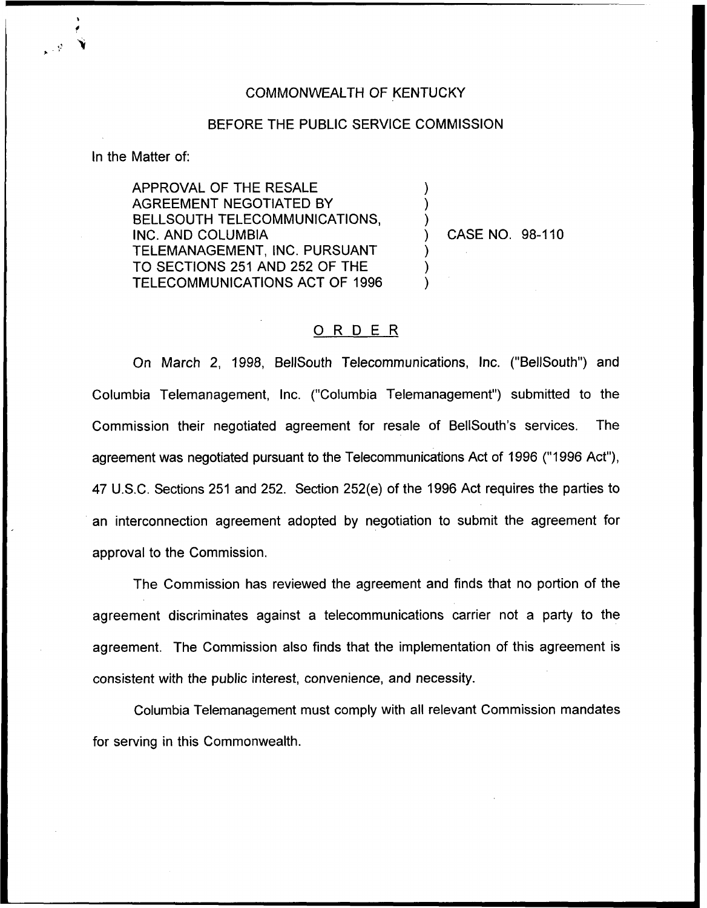## COMMONWEALTH OF KENTUCKY

## BEFORE THE PUBLIC SERVICE COMMISSION

) ) )

) ) )

In the Matter of:

APPROVAL OF THE RESALE AGREEMENT NEGOTIATED BY BELLSOUTH TELECOMMUNICATIONS, INC. AND COLUMBIA TELEMANAGEMENT, INC. PURSUANT TO SECTIONS 251 AND 252 OF THE TELECOMMUNICATIONS ACT OF 1996

) CASE NO. 98-110

## ORDER

On March 2, 1998, BellSouth Telecommunications, Inc. ("BellSouth") and Columbia Telemanagement, Inc. ("Columbia Telemanagement") submitted to the Commission their negotiated agreement for resale of BellSouth's services. The agreement was negotiated pursuant to the Telecommunications Act of 1996 ("1996 Act"), 47 U.S.C. Sections 251 and 252. Section 252(e) of the 1996 Act requires the parties to an interconnection agreement adopted by negotiation to submit the agreement for approval to the Commission.

The Commission has reviewed the agreement and finds that no portion of the agreement discriminates against a telecommunications carrier not a party to the agreement. The Commission also finds that the implementation of this agreement is consistent with the public interest, convenience, and necessity.

Columbia Telemanagement must comply with all relevant Commission mandates for serving in this Commonwealth.